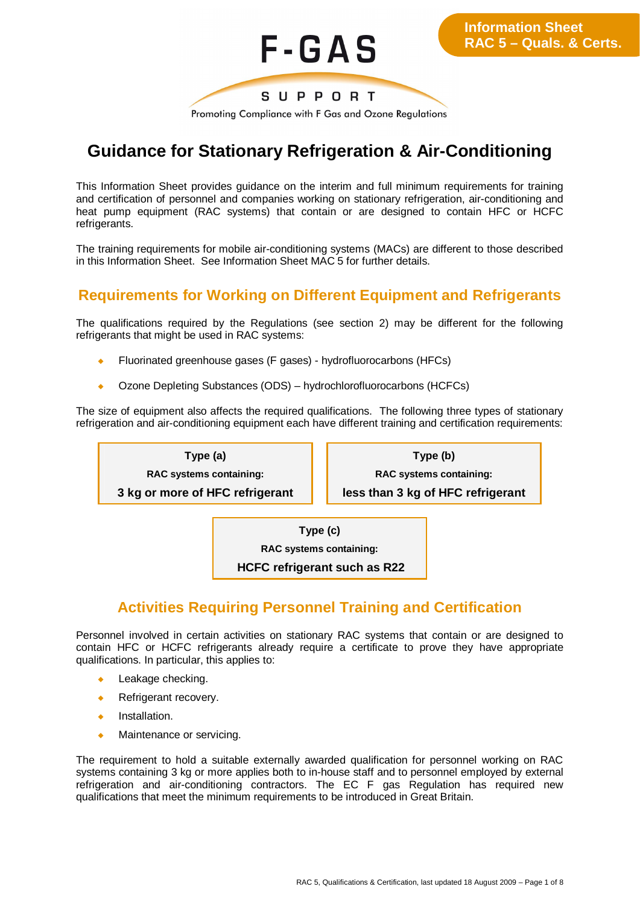

Promoting Compliance with F Gas and Ozone Regulations

# **Guidance for Stationary Refrigeration & Air-Conditioning**

This Information Sheet provides guidance on the interim and full minimum requirements for training and certification of personnel and companies working on stationary refrigeration, air-conditioning and heat pump equipment (RAC systems) that contain or are designed to contain HFC or HCFC refrigerants.

The training requirements for mobile air-conditioning systems (MACs) are different to those described in this Information Sheet. See Information Sheet MAC 5 for further details.

## **Requirements for Working on Different Equipment and Refrigerants**

The qualifications required by the Regulations (see section 2) may be different for the following refrigerants that might be used in RAC systems:

- ¡ Fluorinated greenhouse gases (F gases) hydrofluorocarbons (HFCs)
- ¡ Ozone Depleting Substances (ODS) hydrochlorofluorocarbons (HCFCs)

The size of equipment also affects the required qualifications. The following three types of stationary refrigeration and air-conditioning equipment each have different training and certification requirements:



**Type (b)**

**RAC systems containing:**

**less than 3 kg of HFC refrigerant**

**Type (c)**

**RAC systems containing:**

**HCFC refrigerant such as R22**

## **Activities Requiring Personnel Training and Certification**

Personnel involved in certain activities on stationary RAC systems that contain or are designed to contain HFC or HCFC refrigerants already require a certificate to prove they have appropriate qualifications. In particular, this applies to:

- Leakage checking.
- Refrigerant recovery.
- **•** Installation.
- Maintenance or servicing.

The requirement to hold a suitable externally awarded qualification for personnel working on RAC systems containing 3 kg or more applies both to in-house staff and to personnel employed by external refrigeration and air-conditioning contractors. The EC F gas Regulation has required new qualifications that meet the minimum requirements to be introduced in Great Britain.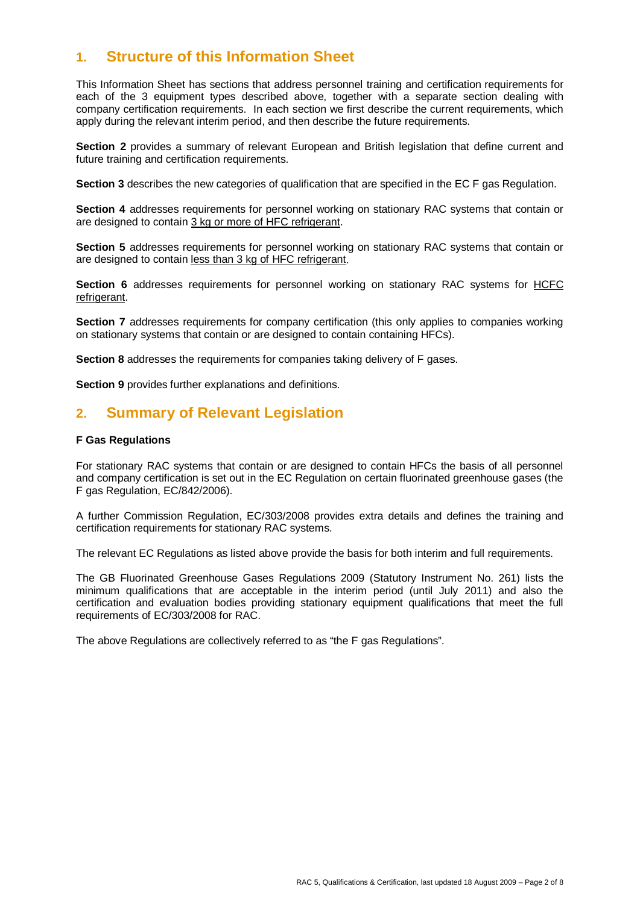## **1. Structure of this Information Sheet**

This Information Sheet has sections that address personnel training and certification requirements for each of the 3 equipment types described above, together with a separate section dealing with company certification requirements. In each section we first describe the current requirements, which apply during the relevant interim period, and then describe the future requirements.

**Section 2** provides a summary of relevant European and British legislation that define current and future training and certification requirements.

**Section 3** describes the new categories of qualification that are specified in the EC F gas Regulation.

**Section 4** addresses requirements for personnel working on stationary RAC systems that contain or are designed to contain 3 kg or more of HFC refrigerant.

**Section 5** addresses requirements for personnel working on stationary RAC systems that contain or are designed to contain less than 3 kg of HFC refrigerant.

**Section 6** addresses requirements for personnel working on stationary RAC systems for **HCFC** refrigerant.

**Section 7** addresses requirements for company certification (this only applies to companies working on stationary systems that contain or are designed to contain containing HFCs).

**Section 8** addresses the requirements for companies taking delivery of F gases.

**Section 9** provides further explanations and definitions.

### **2. Summary of Relevant Legislation**

### **F Gas Regulations**

For stationary RAC systems that contain or are designed to contain HFCs the basis of all personnel and company certification is set out in the EC Regulation on certain fluorinated greenhouse gases (the F gas Regulation, EC/842/2006).

A further Commission Regulation, EC/303/2008 provides extra details and defines the training and certification requirements for stationary RAC systems.

The relevant EC Regulations as listed above provide the basis for both interim and full requirements.

The GB Fluorinated Greenhouse Gases Regulations 2009 (Statutory Instrument No. 261) lists the minimum qualifications that are acceptable in the interim period (until July 2011) and also the certification and evaluation bodies providing stationary equipment qualifications that meet the full requirements of EC/303/2008 for RAC.

The above Regulations are collectively referred to as "the F gas Regulations".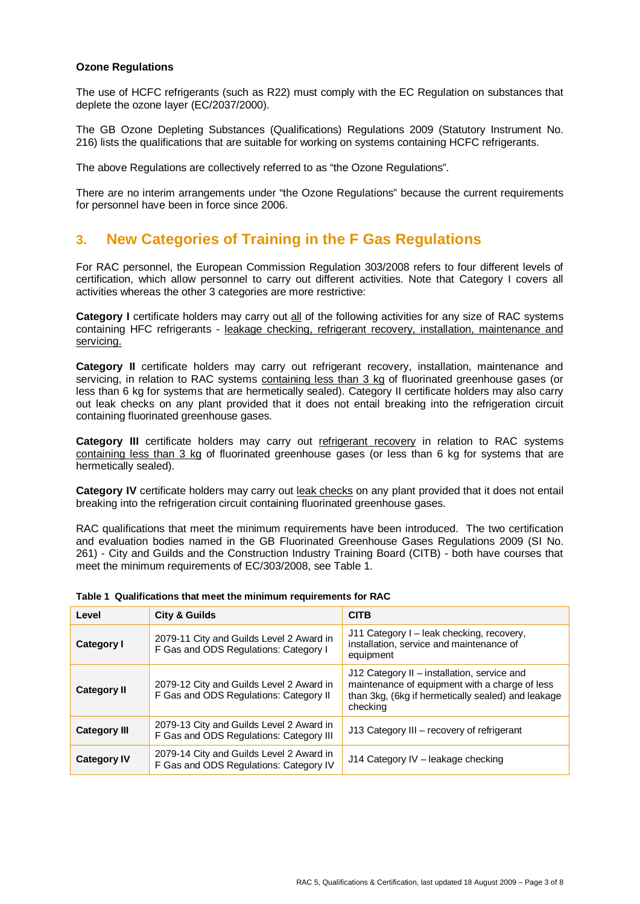#### **Ozone Regulations**

The use of HCFC refrigerants (such as R22) must comply with the EC Regulation on substances that deplete the ozone layer (EC/2037/2000).

The GB Ozone Depleting Substances (Qualifications) Regulations 2009 (Statutory Instrument No. 216) lists the qualifications that are suitable for working on systems containing HCFC refrigerants.

The above Regulations are collectively referred to as "the Ozone Regulations".

There are no interim arrangements under "the Ozone Regulations" because the current requirements for personnel have been in force since 2006.

### **3. New Categories of Training in the F Gas Regulations**

For RAC personnel, the European Commission Regulation 303/2008 refers to four different levels of certification, which allow personnel to carry out different activities. Note that Category I covers all activities whereas the other 3 categories are more restrictive:

**Category I** certificate holders may carry out all of the following activities for any size of RAC systems containing HFC refrigerants - leakage checking, refrigerant recovery, installation, maintenance and servicing.

**Category II** certificate holders may carry out refrigerant recovery, installation, maintenance and servicing, in relation to RAC systems containing less than 3 kg of fluorinated greenhouse gases (or less than 6 kg for systems that are hermetically sealed). Category II certificate holders may also carry out leak checks on any plant provided that it does not entail breaking into the refrigeration circuit containing fluorinated greenhouse gases.

Category III certificate holders may carry out refrigerant recovery in relation to RAC systems containing less than 3 kg of fluorinated greenhouse gases (or less than 6 kg for systems that are hermetically sealed).

**Category IV** certificate holders may carry out leak checks on any plant provided that it does not entail breaking into the refrigeration circuit containing fluorinated greenhouse gases.

RAC qualifications that meet the minimum requirements have been introduced. The two certification and evaluation bodies named in the GB Fluorinated Greenhouse Gases Regulations 2009 (SI No. 261) - City and Guilds and the Construction Industry Training Board (CITB) - both have courses that meet the minimum requirements of EC/303/2008, see Table 1.

| Level               | <b>City &amp; Guilds</b>                                                            | <b>CITB</b>                                                                                                                                                     |
|---------------------|-------------------------------------------------------------------------------------|-----------------------------------------------------------------------------------------------------------------------------------------------------------------|
| Category I          | 2079-11 City and Guilds Level 2 Award in<br>F Gas and ODS Regulations: Category I   | J11 Category I – leak checking, recovery,<br>installation, service and maintenance of<br>equipment                                                              |
| <b>Category II</b>  | 2079-12 City and Guilds Level 2 Award in<br>F Gas and ODS Regulations: Category II  | J12 Category II – installation, service and<br>maintenance of equipment with a charge of less<br>than 3kg, (6kg if hermetically sealed) and leakage<br>checking |
| <b>Category III</b> | 2079-13 City and Guilds Level 2 Award in<br>F Gas and ODS Regulations: Category III | J13 Category III - recovery of refrigerant                                                                                                                      |
| <b>Category IV</b>  | 2079-14 City and Guilds Level 2 Award in<br>F Gas and ODS Regulations: Category IV  | J14 Category IV - leakage checking                                                                                                                              |

|  |  |  |  | Table 1 Qualifications that meet the minimum requirements for RAC |  |
|--|--|--|--|-------------------------------------------------------------------|--|
|--|--|--|--|-------------------------------------------------------------------|--|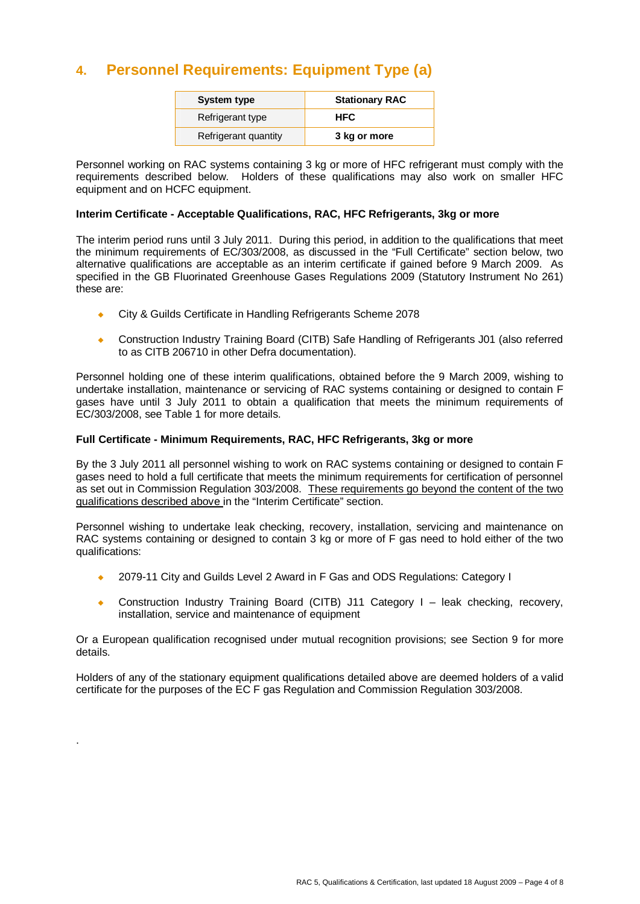## **4. Personnel Requirements: Equipment Type (a)**

| System type          | <b>Stationary RAC</b> |
|----------------------|-----------------------|
| Refrigerant type     | <b>HFC</b>            |
| Refrigerant quantity | 3 kg or more          |

Personnel working on RAC systems containing 3 kg or more of HFC refrigerant must comply with the requirements described below. Holders of these qualifications may also work on smaller HFC equipment and on HCFC equipment.

#### **Interim Certificate - Acceptable Qualifications, RAC, HFC Refrigerants, 3kg or more**

The interim period runs until 3 July 2011. During this period, in addition to the qualifications that meet the minimum requirements of EC/303/2008, as discussed in the "Full Certificate" section below, two alternative qualifications are acceptable as an interim certificate if gained before 9 March 2009. As specified in the GB Fluorinated Greenhouse Gases Regulations 2009 (Statutory Instrument No 261) these are:

- ¡ City & Guilds Certificate in Handling Refrigerants Scheme 2078
- ¡ Construction Industry Training Board (CITB) Safe Handling of Refrigerants J01 (also referred to as CITB 206710 in other Defra documentation).

Personnel holding one of these interim qualifications, obtained before the 9 March 2009, wishing to undertake installation, maintenance or servicing of RAC systems containing or designed to contain F gases have until 3 July 2011 to obtain a qualification that meets the minimum requirements of EC/303/2008, see Table 1 for more details.

### **Full Certificate - Minimum Requirements, RAC, HFC Refrigerants, 3kg or more**

By the 3 July 2011 all personnel wishing to work on RAC systems containing or designed to contain F gases need to hold a full certificate that meets the minimum requirements for certification of personnel as set out in Commission Regulation 303/2008. These requirements go beyond the content of the two qualifications described above in the "Interim Certificate" section.

Personnel wishing to undertake leak checking, recovery, installation, servicing and maintenance on RAC systems containing or designed to contain 3 kg or more of F gas need to hold either of the two qualifications:

- 2079-11 City and Guilds Level 2 Award in F Gas and ODS Regulations: Category I
- Construction Industry Training Board (CITB) J11 Category I leak checking, recovery, installation, service and maintenance of equipment

Or a European qualification recognised under mutual recognition provisions; see Section 9 for more details.

Holders of any of the stationary equipment qualifications detailed above are deemed holders of a valid certificate for the purposes of the EC F gas Regulation and Commission Regulation 303/2008.

.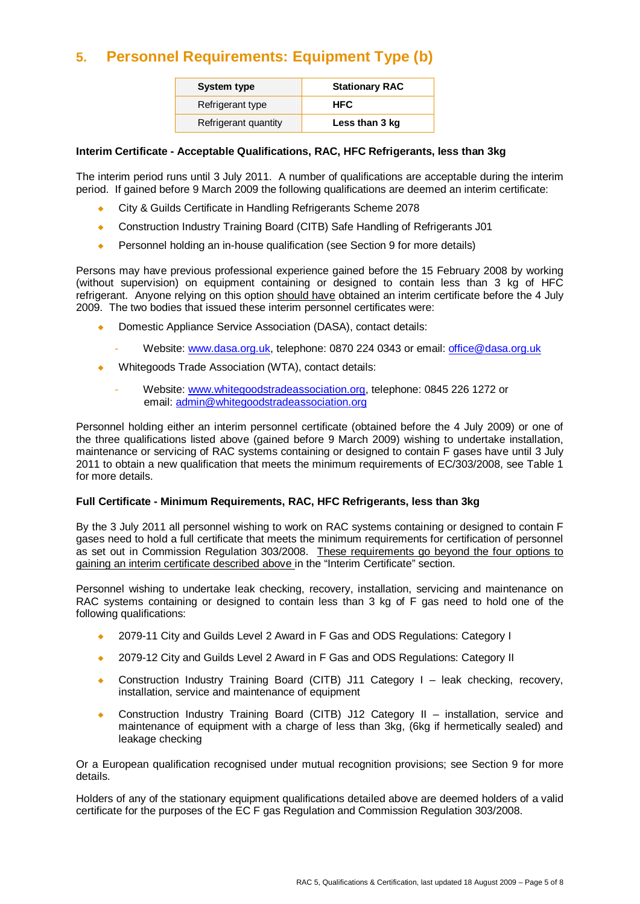## **5. Personnel Requirements: Equipment Type (b)**

| System type          | <b>Stationary RAC</b> |
|----------------------|-----------------------|
| Refrigerant type     | <b>HFC</b>            |
| Refrigerant quantity | Less than 3 kg        |

### **Interim Certificate - Acceptable Qualifications, RAC, HFC Refrigerants, less than 3kg**

The interim period runs until 3 July 2011. A number of qualifications are acceptable during the interim period. If gained before 9 March 2009 the following qualifications are deemed an interim certificate:

- ¡ City & Guilds Certificate in Handling Refrigerants Scheme 2078
- ¡ Construction Industry Training Board (CITB) Safe Handling of Refrigerants J01
- Personnel holding an in-house qualification (see Section 9 for more details)

Persons may have previous professional experience gained before the 15 February 2008 by working (without supervision) on equipment containing or designed to contain less than 3 kg of HFC refrigerant. Anyone relying on this option should have obtained an interim certificate before the 4 July 2009. The two bodies that issued these interim personnel certificates were:

- Domestic Appliance Service Association (DASA), contact details:
	- Website: www.dasa.org.uk, telephone: 0870 224 0343 or email: office@dasa.org.uk
- Whitegoods Trade Association (WTA), contact details:
	- Website: www.whitegoodstradeassociation.org, telephone: 0845 226 1272 or email: admin@whitegoodstradeassociation.org

Personnel holding either an interim personnel certificate (obtained before the 4 July 2009) or one of the three qualifications listed above (gained before 9 March 2009) wishing to undertake installation, maintenance or servicing of RAC systems containing or designed to contain F gases have until 3 July 2011 to obtain a new qualification that meets the minimum requirements of EC/303/2008, see Table 1 for more details.

### **Full Certificate - Minimum Requirements, RAC, HFC Refrigerants, less than 3kg**

By the 3 July 2011 all personnel wishing to work on RAC systems containing or designed to contain F gases need to hold a full certificate that meets the minimum requirements for certification of personnel as set out in Commission Regulation 303/2008. These requirements go beyond the four options to gaining an interim certificate described above in the "Interim Certificate" section.

Personnel wishing to undertake leak checking, recovery, installation, servicing and maintenance on RAC systems containing or designed to contain less than 3 kg of F gas need to hold one of the following qualifications:

- 2079-11 City and Guilds Level 2 Award in F Gas and ODS Regulations: Category I
- 2079-12 City and Guilds Level 2 Award in F Gas and ODS Regulations: Category II
- Construction Industry Training Board (CITB) J11 Category I leak checking, recovery, installation, service and maintenance of equipment
- Construction Industry Training Board (CITB) J12 Category II installation, service and maintenance of equipment with a charge of less than 3kg, (6kg if hermetically sealed) and leakage checking

Or a European qualification recognised under mutual recognition provisions; see Section 9 for more details.

Holders of any of the stationary equipment qualifications detailed above are deemed holders of a valid certificate for the purposes of the EC F gas Regulation and Commission Regulation 303/2008.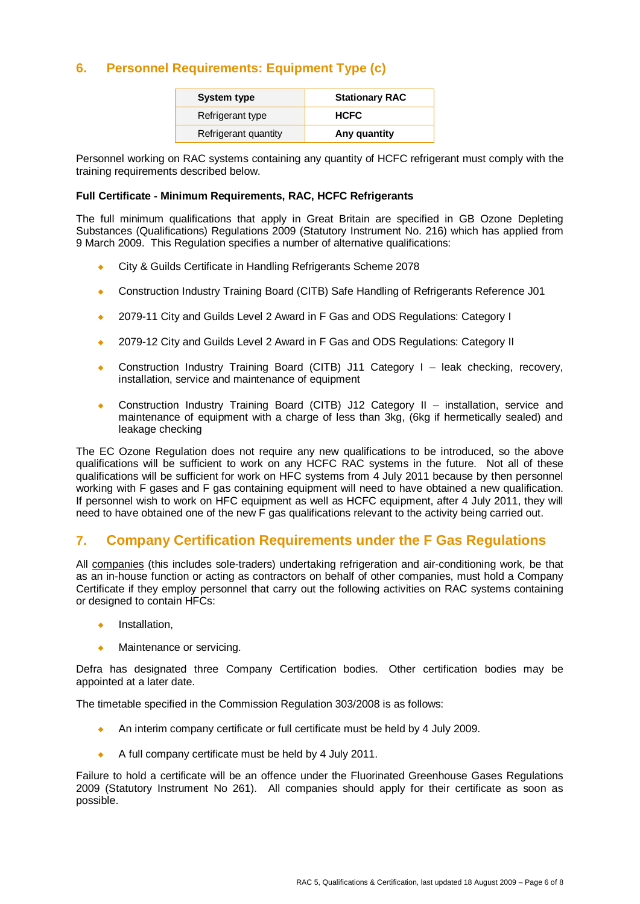### **6. Personnel Requirements: Equipment Type (c)**

| System type          | <b>Stationary RAC</b> |
|----------------------|-----------------------|
| Refrigerant type     | <b>HCFC</b>           |
| Refrigerant quantity | Any quantity          |

Personnel working on RAC systems containing any quantity of HCFC refrigerant must comply with the training requirements described below.

### **Full Certificate - Minimum Requirements, RAC, HCFC Refrigerants**

The full minimum qualifications that apply in Great Britain are specified in GB Ozone Depleting Substances (Qualifications) Regulations 2009 (Statutory Instrument No. 216) which has applied from 9 March 2009. This Regulation specifies a number of alternative qualifications:

- ¡ City & Guilds Certificate in Handling Refrigerants Scheme 2078
- ¡ Construction Industry Training Board (CITB) Safe Handling of Refrigerants Reference J01
- ¡ 2079-11 City and Guilds Level 2 Award in F Gas and ODS Regulations: Category I
- 2079-12 City and Guilds Level 2 Award in F Gas and ODS Regulations: Category II
- Construction Industry Training Board (CITB) J11 Category I leak checking, recovery, installation, service and maintenance of equipment
- Construction Industry Training Board (CITB) J12 Category II installation, service and maintenance of equipment with a charge of less than 3kg, (6kg if hermetically sealed) and leakage checking

The EC Ozone Regulation does not require any new qualifications to be introduced, so the above qualifications will be sufficient to work on any HCFC RAC systems in the future. Not all of these qualifications will be sufficient for work on HFC systems from 4 July 2011 because by then personnel working with F gases and F gas containing equipment will need to have obtained a new qualification. If personnel wish to work on HFC equipment as well as HCFC equipment, after 4 July 2011, they will need to have obtained one of the new F gas qualifications relevant to the activity being carried out.

### **7. Company Certification Requirements under the F Gas Regulations**

All companies (this includes sole-traders) undertaking refrigeration and air-conditioning work, be that as an in-house function or acting as contractors on behalf of other companies, must hold a Company Certificate if they employ personnel that carry out the following activities on RAC systems containing or designed to contain HFCs:

- Installation,
- Maintenance or servicing.

Defra has designated three Company Certification bodies. Other certification bodies may be appointed at a later date.

The timetable specified in the Commission Regulation 303/2008 is as follows:

- An interim company certificate or full certificate must be held by 4 July 2009.
- $\bullet$  A full company certificate must be held by 4 July 2011.

Failure to hold a certificate will be an offence under the Fluorinated Greenhouse Gases Regulations 2009 (Statutory Instrument No 261). All companies should apply for their certificate as soon as possible.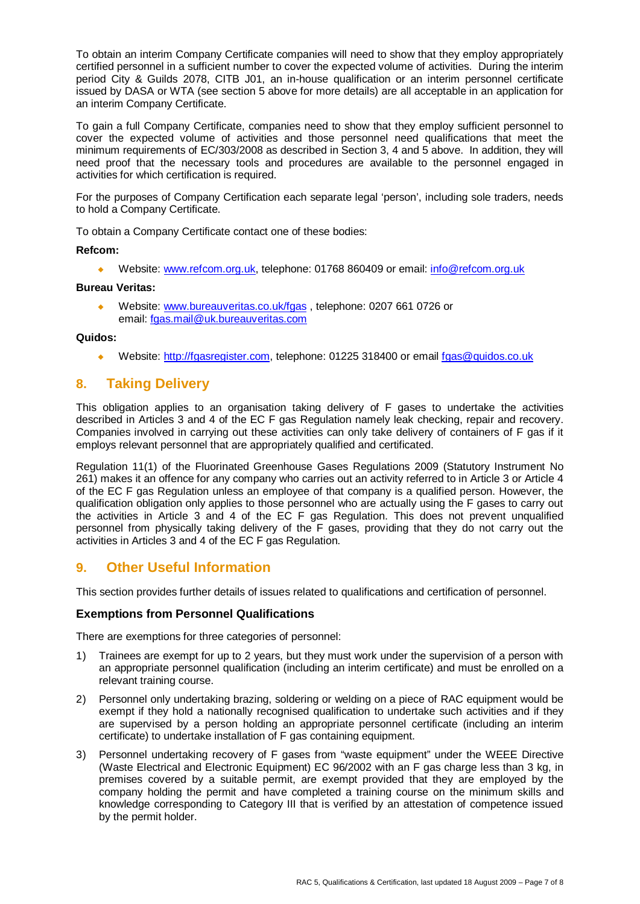To obtain an interim Company Certificate companies will need to show that they employ appropriately certified personnel in a sufficient number to cover the expected volume of activities. During the interim period City & Guilds 2078, CITB J01, an in-house qualification or an interim personnel certificate issued by DASA or WTA (see section 5 above for more details) are all acceptable in an application for an interim Company Certificate.

To gain a full Company Certificate, companies need to show that they employ sufficient personnel to cover the expected volume of activities and those personnel need qualifications that meet the minimum requirements of EC/303/2008 as described in Section 3, 4 and 5 above. In addition, they will need proof that the necessary tools and procedures are available to the personnel engaged in activities for which certification is required.

For the purposes of Company Certification each separate legal 'person', including sole traders, needs to hold a Company Certificate.

To obtain a Company Certificate contact one of these bodies:

### **Refcom:**

Website: www.refcom.org.uk, telephone: 01768 860409 or email: info@refcom.org.uk

### **Bureau Veritas:**

Website: www.bureauveritas.co.uk/fgas, telephone: 0207 661 0726 or email: fgas.mail@uk.bureauveritas.com

#### **Quidos:**

• Website: http://fgasregister.com, telephone: 01225 318400 or email fgas@quidos.co.uk

### **8. Taking Delivery**

This obligation applies to an organisation taking delivery of F gases to undertake the activities described in Articles 3 and 4 of the EC F gas Regulation namely leak checking, repair and recovery. Companies involved in carrying out these activities can only take delivery of containers of F gas if it employs relevant personnel that are appropriately qualified and certificated.

Regulation 11(1) of the Fluorinated Greenhouse Gases Regulations 2009 (Statutory Instrument No 261) makes it an offence for any company who carries out an activity referred to in Article 3 or Article 4 of the EC F gas Regulation unless an employee of that company is a qualified person. However, the qualification obligation only applies to those personnel who are actually using the F gases to carry out the activities in Article 3 and 4 of the EC F gas Regulation. This does not prevent unqualified personnel from physically taking delivery of the F gases, providing that they do not carry out the activities in Articles 3 and 4 of the EC F gas Regulation.

### **9. Other Useful Information**

This section provides further details of issues related to qualifications and certification of personnel.

### **Exemptions from Personnel Qualifications**

There are exemptions for three categories of personnel:

- 1) Trainees are exempt for up to 2 years, but they must work under the supervision of a person with an appropriate personnel qualification (including an interim certificate) and must be enrolled on a relevant training course.
- 2) Personnel only undertaking brazing, soldering or welding on a piece of RAC equipment would be exempt if they hold a nationally recognised qualification to undertake such activities and if they are supervised by a person holding an appropriate personnel certificate (including an interim certificate) to undertake installation of F gas containing equipment.
- 3) Personnel undertaking recovery of F gases from "waste equipment" under the WEEE Directive (Waste Electrical and Electronic Equipment) EC 96/2002 with an F gas charge less than 3 kg, in premises covered by a suitable permit, are exempt provided that they are employed by the company holding the permit and have completed a training course on the minimum skills and knowledge corresponding to Category III that is verified by an attestation of competence issued by the permit holder.